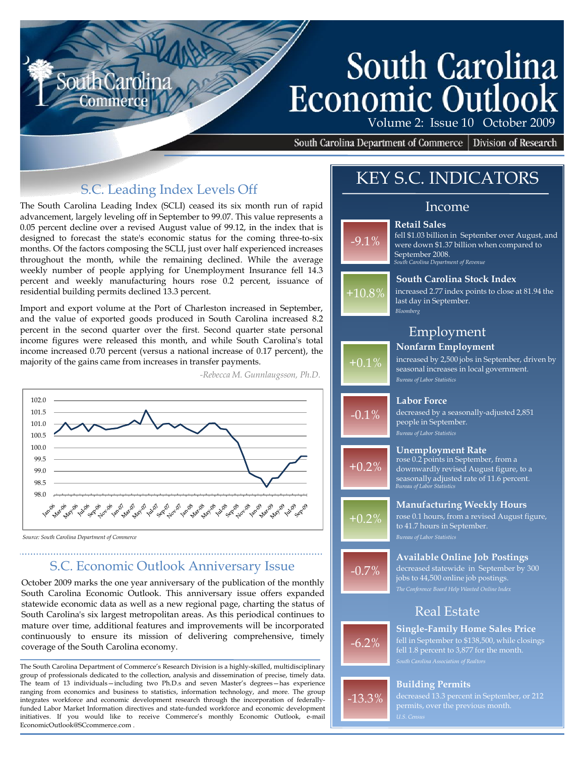# South Carolina **Economic Outlook**

Volume 2: Issue 10 October 2009

South Carolina Department of Commerce | Division of Research

### S.C. Leading Index Levels Off

The South Carolina Leading Index (SCLI) ceased its six month run of rapid advancement, largely leveling off in September to 99.07. This value represents a 0.05 percent decline over a revised August value of 99.12, in the index that is designed to forecast the state's economic status for the coming three-to-six months. Of the factors composing the SCLI, just over half experienced increases throughout the month, while the remaining declined. While the average weekly number of people applying for Unemployment Insurance fell 14.3 percent and weekly manufacturing hours rose 0.2 percent, issuance of residential building permits declined 13.3 percent.

Import and export volume at the Port of Charleston increased in September, and the value of exported goods produced in South Carolina increased 8.2 percent in the second quarter over the first. Second quarter state personal income figures were released this month, and while South Carolina's total income increased 0.70 percent (versus a national increase of 0.17 percent), the majority of the gains came from increases in transfer payments.



*-Rebecca M. Gunnlaugsson, Ph.D.*

#### *Source: South Carolina Department of Commerce*

### S.C. Economic Outlook Anniversary Issue

October 2009 marks the one year anniversary of the publication of the monthly South Carolina Economic Outlook. This anniversary issue offers expanded statewide economic data as well as a new regional page, charting the status of South Carolina's six largest metropolitan areas. As this periodical continues to mature over time, additional features and improvements will be incorporated continuously to ensure its mission of delivering comprehensive, timely coverage of the South Carolina economy.

The South Carolina Department of Commerce's Research Division is a highly-skilled, multidisciplinary group of professionals dedicated to the collection, analysis and dissemination of precise, timely data. The team of 13 individuals—including two Ph.D.s and seven Master's degrees—has experience ranging from economics and business to statistics, information technology, and more. The group integrates workforce and economic development research through the incorporation of federallyfunded Labor Market Information directives and state-funded workforce and economic development initiatives. If you would like to receive Commerce's monthly Economic Outlook, e-mail EconomicOutlook@SCcommerce.com .

# KEY S.C. INDICATORS

### Income

**South Carolina Stock Index**

increased 2.77 index points to close at 81.94 the

#### **Retail Sales**

last day in September.

-9.1% *South Carolina Department of Revenue* fell \$1.03 billion in September over August, and were down \$1.37 billion when compared to September 2008.



### **Nonfarm Employment** Employment

**Labor Force**

people in September.

**Unemployment Rate**

*Bloomberg*

 $+0.1\%$ *Bureau of Labor Statistics* increased by 2,500 jobs in September, driven by seasonal increases in local government.

 $-0.1%$ 



+0.2%

 $-0.7%$ 

#### **Bureau of Labor Statistic** downwardly revised August figure, to a seasonally adjusted rate of 11.6 percent.

rose 0.2 points in September, from a

decreased by a seasonally-adjusted 2,851

**Manufacturing Weekly Hours** rose 0.1 hours, from a revised August figure, to 41.7 hours in September.

### **Available Online Job Postings**

*The Conference Board Help Wanted Online Index* decreased statewide in September by 300 jobs to 44,500 online job postings.

### Real Estate



-13.3%

**Single-Family Home Sales Price**

fell in September to \$138,500, while closings fell 1.8 percent to 3,877 for the month.

#### **Building Permits**

permits, over the previous month.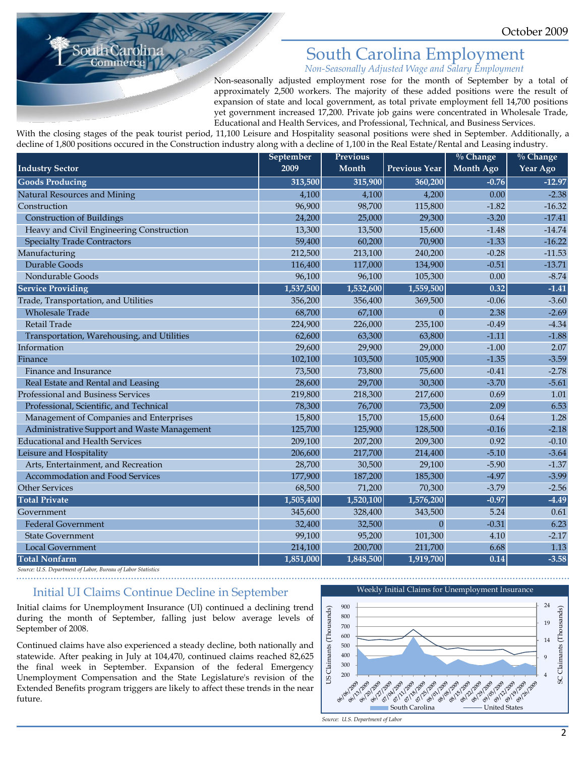## South Carolina Employment

*Non-Seasonally Adjusted Wage and Salary Employment*

Non-seasonally adjusted employment rose for the month of September by a total of approximately 2,500 workers. The majority of these added positions were the result of expansion of state and local government, as total private employment fell 14,700 positions yet government increased 17,200. Private job gains were concentrated in Wholesale Trade, Educational and Health Services, and Professional, Technical, and Business Services.

With the closing stages of the peak tourist period, 11,100 Leisure and Hospitality seasonal positions were shed in September. Additionally, a decline of 1,800 positions occured in the Construction industry along with a decline of 1,100 in the Real Estate/Rental and Leasing industry.

|                                             | September | <b>Previous</b> |                      | $\%$ Change      | $\%$ Change |
|---------------------------------------------|-----------|-----------------|----------------------|------------------|-------------|
| <b>Industry Sector</b>                      | 2009      | Month           | <b>Previous Year</b> | <b>Month Ago</b> | Year Ago    |
| <b>Goods Producing</b>                      | 313,500   | 315,900         | 360,200              | $-0.76$          | $-12.97$    |
| <b>Natural Resources and Mining</b>         | 4,100     | 4,100           | 4,200                | 0.00             | $-2.38$     |
| Construction                                | 96,900    | 98,700          | 115,800              | $-1.82$          | $-16.32$    |
| <b>Construction of Buildings</b>            | 24,200    | 25,000          | 29,300               | $-3.20$          | $-17.41$    |
| Heavy and Civil Engineering Construction    | 13,300    | 13,500          | 15,600               | $-1.48$          | $-14.74$    |
| <b>Specialty Trade Contractors</b>          | 59,400    | 60,200          | 70,900               | $-1.33$          | $-16.22$    |
| Manufacturing                               | 212,500   | 213,100         | 240,200              | $-0.28$          | $-11.53$    |
| Durable Goods                               | 116,400   | 117,000         | 134,900              | $-0.51$          | $-13.71$    |
| Nondurable Goods                            | 96,100    | 96,100          | 105,300              | 0.00             | $-8.74$     |
| <b>Service Providing</b>                    | 1,537,500 | 1,532,600       | 1,559,500            | 0.32             | $-1.41$     |
| Trade, Transportation, and Utilities        | 356,200   | 356,400         | 369,500              | $-0.06$          | $-3.60$     |
| <b>Wholesale Trade</b>                      | 68,700    | 67,100          | $\Omega$             | 2.38             | $-2.69$     |
| Retail Trade                                | 224,900   | 226,000         | 235,100              | $-0.49$          | $-4.34$     |
| Transportation, Warehousing, and Utilities  | 62,600    | 63,300          | 63,800               | $-1.11$          | $-1.88$     |
| Information                                 | 29,600    | 29,900          | 29,000               | $-1.00$          | 2.07        |
| Finance                                     | 102,100   | 103,500         | 105,900              | $-1.35$          | $-3.59$     |
| Finance and Insurance                       | 73,500    | 73,800          | 75,600               | $-0.41$          | $-2.78$     |
| Real Estate and Rental and Leasing          | 28,600    | 29,700          | 30,300               | $-3.70$          | $-5.61$     |
| Professional and Business Services          | 219,800   | 218,300         | 217,600              | 0.69             | 1.01        |
| Professional, Scientific, and Technical     | 78,300    | 76,700          | 73,500               | 2.09             | 6.53        |
| Management of Companies and Enterprises     | 15,800    | 15,700          | 15,600               | 0.64             | 1.28        |
| Administrative Support and Waste Management | 125,700   | 125,900         | 128,500              | $-0.16$          | $-2.18$     |
| <b>Educational and Health Services</b>      | 209,100   | 207,200         | 209,300              | 0.92             | $-0.10$     |
| Leisure and Hospitality                     | 206,600   | 217,700         | 214,400              | $-5.10$          | $-3.64$     |
| Arts, Entertainment, and Recreation         | 28,700    | 30,500          | 29,100               | $-5.90$          | $-1.37$     |
| Accommodation and Food Services             | 177,900   | 187,200         | 185,300              | $-4.97$          | $-3.99$     |
| <b>Other Services</b>                       | 68,500    | 71,200          | 70,300               | $-3.79$          | $-2.56$     |
| <b>Total Private</b>                        | 1,505,400 | 1,520,100       | 1,576,200            | $-0.97$          | $-4.49$     |
| Government                                  | 345,600   | 328,400         | 343,500              | 5.24             | 0.61        |
| <b>Federal Government</b>                   | 32,400    | 32,500          | $\theta$             | $-0.31$          | 6.23        |
| <b>State Government</b>                     | 99,100    | 95,200          | 101,300              | 4.10             | $-2.17$     |
| Local Government                            | 214,100   | 200,700         | 211,700              | 6.68             | 1.13        |
| <b>Total Nonfarm</b>                        | 1,851,000 | 1,848,500       | 1,919,700            | 0.14             | $-3.58$     |

*Source: U.S. Department of Labor, Bureau of Labor Statistics*

ommer

### Initial UI Claims Continue Decline in September

Initial claims for Unemployment Insurance (UI) continued a declining trend during the month of September, falling just below average levels of September of 2008.

Continued claims have also experienced a steady decline, both nationally and statewide. After peaking in July at 104,470, continued claims reached 82,625 the final week in September. Expansion of the federal Emergency Unemployment Compensation and the State Legislature's revision of the Extended Benefits program triggers are likely to affect these trends in the near future.



*Source: U.S. Department of Labor*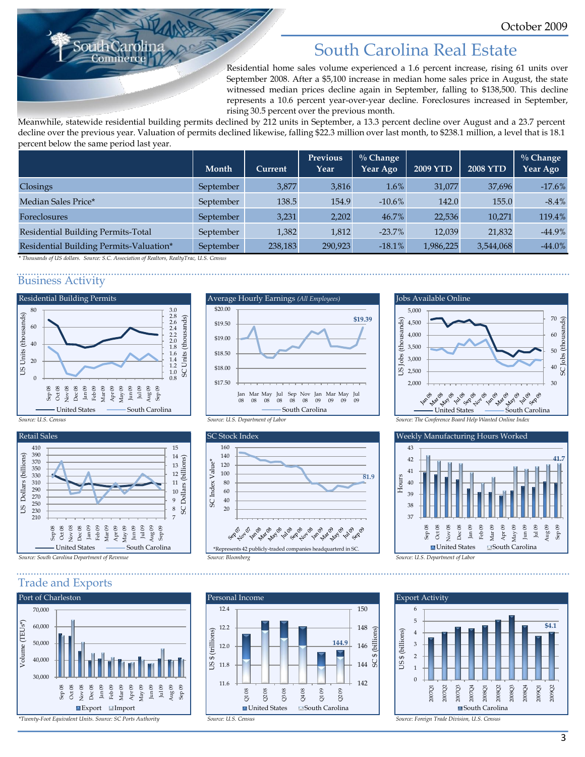# South Carolina Real Estate

Residential home sales volume experienced a 1.6 percent increase, rising 61 units over September 2008. After a \$5,100 increase in median home sales price in August, the state witnessed median prices decline again in September, falling to \$138,500. This decline represents a 10.6 percent year-over-year decline. Foreclosures increased in September, rising 30.5 percent over the previous month.

Meanwhile, statewide residential building permits declined by 212 units in September, a 13.3 percent decline over August and a 23.7 percent decline over the previous year. Valuation of permits declined likewise, falling \$22.3 million over last month, to \$238.1 million, a level that is 18.1 percent below the same period last year.

|                                         | Month     | Current | <b>Previous</b><br>Year | $\%$ Change<br>Year Ago | <b>2009 YTD</b> | <b>2008 YTD</b> | $\%$ Change<br>Year Ago |
|-----------------------------------------|-----------|---------|-------------------------|-------------------------|-----------------|-----------------|-------------------------|
| Closings                                | September | 3,877   | 3,816                   | 1.6%                    | 31,077          | 37,696          | $-17.6%$                |
| Median Sales Price*                     | September | 138.5   | 154.9                   | $-10.6\%$               | 142.0           | 155.0           | $-8.4%$                 |
| <b>Foreclosures</b>                     | September | 3,231   | 2,202                   | 46.7%                   | 22,536          | 10,271          | 119.4%                  |
| Residential Building Permits-Total      | September | 1,382   | 1,812                   | $-23.7\%$               | 12,039          | 21,832          | $-44.9%$                |
| Residential Building Permits-Valuation* | September | 238,183 | 290,923                 | $-18.1%$                | 1,986,225       | 3,544,068       | $-44.0\%$               |

*\* Thousands of US dollars. Source: S.C. Association of Realtors, RealtyTrac, U.S. Census*

#### Business Activity







Trade and Exports





![](_page_2_Figure_14.jpeg)

![](_page_2_Figure_15.jpeg)

![](_page_2_Figure_16.jpeg)

![](_page_2_Figure_17.jpeg)

![](_page_2_Figure_18.jpeg)

![](_page_2_Figure_19.jpeg)